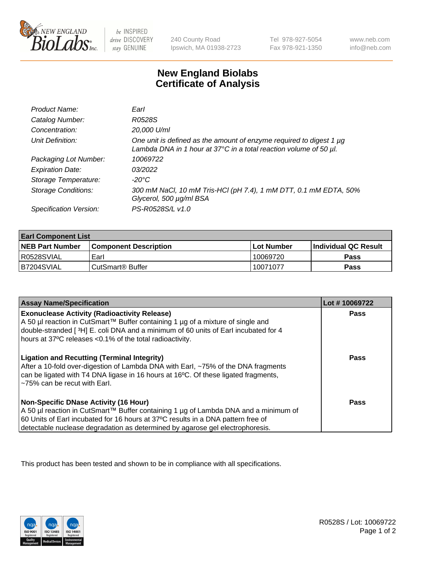

 $be$  INSPIRED drive DISCOVERY stay GENUINE

240 County Road Ipswich, MA 01938-2723 Tel 978-927-5054 Fax 978-921-1350 www.neb.com info@neb.com

## **New England Biolabs Certificate of Analysis**

| Product Name:              | Earl                                                                                                                                                    |
|----------------------------|---------------------------------------------------------------------------------------------------------------------------------------------------------|
| Catalog Number:            | R0528S                                                                                                                                                  |
| Concentration:             | 20,000 U/ml                                                                                                                                             |
| Unit Definition:           | One unit is defined as the amount of enzyme required to digest 1 µg<br>Lambda DNA in 1 hour at $37^{\circ}$ C in a total reaction volume of 50 $\mu$ l. |
| Packaging Lot Number:      | 10069722                                                                                                                                                |
| <b>Expiration Date:</b>    | 03/2022                                                                                                                                                 |
| Storage Temperature:       | $-20^{\circ}$ C                                                                                                                                         |
| <b>Storage Conditions:</b> | 300 mM NaCl, 10 mM Tris-HCl (pH 7.4), 1 mM DTT, 0.1 mM EDTA, 50%<br>Glycerol, 500 µg/ml BSA                                                             |
| Specification Version:     | PS-R0528S/L v1.0                                                                                                                                        |

| <b>Earl Component List</b> |                              |                   |                        |  |  |
|----------------------------|------------------------------|-------------------|------------------------|--|--|
| <b>NEB Part Number</b>     | <b>Component Description</b> | <b>Lot Number</b> | l Individual QC Result |  |  |
| R0528SVIAL                 | Earl                         | 10069720          | Pass                   |  |  |
| I B7204SVIAL               | CutSmart <sup>®</sup> Buffer | 10071077          | Pass                   |  |  |

| <b>Assay Name/Specification</b>                                                                                                                                                                                                                                                                     | Lot #10069722 |
|-----------------------------------------------------------------------------------------------------------------------------------------------------------------------------------------------------------------------------------------------------------------------------------------------------|---------------|
| <b>Exonuclease Activity (Radioactivity Release)</b><br>A 50 µl reaction in CutSmart™ Buffer containing 1 µg of a mixture of single and<br>double-stranded [3H] E. coli DNA and a minimum of 60 units of Earl incubated for 4<br>hours at 37°C releases <0.1% of the total radioactivity.            | <b>Pass</b>   |
| <b>Ligation and Recutting (Terminal Integrity)</b><br>After a 10-fold over-digestion of Lambda DNA with Earl, ~75% of the DNA fragments<br>can be ligated with T4 DNA ligase in 16 hours at 16°C. Of these ligated fragments,<br>~75% can be recut with Earl.                                       | Pass          |
| Non-Specific DNase Activity (16 Hour)<br>  A 50 µl reaction in CutSmart™ Buffer containing 1 µg of Lambda DNA and a minimum of<br>60 Units of Earl incubated for 16 hours at 37°C results in a DNA pattern free of<br>detectable nuclease degradation as determined by agarose gel electrophoresis. | Pass          |

This product has been tested and shown to be in compliance with all specifications.